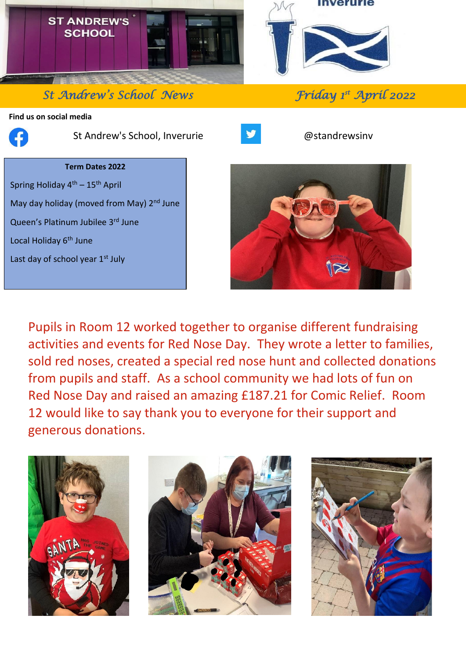

*St Andrew's School News* 

**Find us on social media**



֦

St Andrew's School, Inverurie **Bullet and Structure and Australian** @standrewsinv



*st April 2022* 

# **Term Dates 2022**

Spring Holiday  $4<sup>th</sup> - 15<sup>th</sup>$  April May day holiday (moved from May) 2<sup>nd</sup> June Queen's Platinum Jubilee 3rd June Local Holiday 6<sup>th</sup> June

Last day of school year 1st July



Pupils in Room 12 worked together to organise different fundraising activities and events for Red Nose Day. They wrote a letter to families, sold red noses, created a special red nose hunt and collected donations from pupils and staff. As a school community we had lots of fun on Red Nose Day and raised an amazing £187.21 for Comic Relief. Room 12 would like to say thank you to everyone for their support and generous donations.





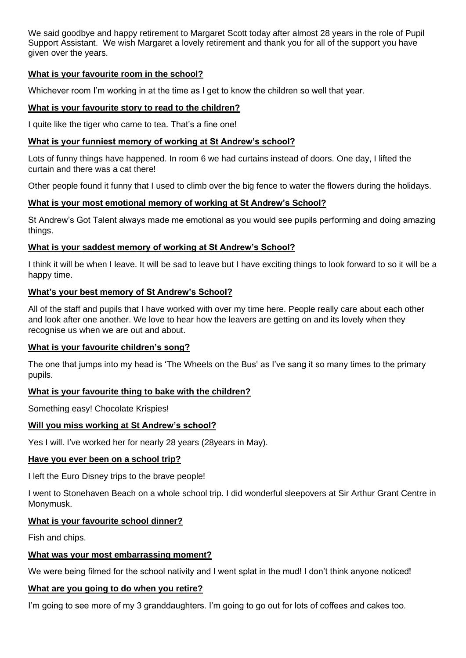We said goodbye and happy retirement to Margaret Scott today after almost 28 years in the role of Pupil Support Assistant. We wish Margaret a lovely retirement and thank you for all of the support you have given over the years.

## **What is your favourite room in the school?**

Whichever room I'm working in at the time as I get to know the children so well that year.

#### **What is your favourite story to read to the children?**

I quite like the tiger who came to tea. That's a fine one!

#### **What is your funniest memory of working at St Andrew's school?**

Lots of funny things have happened. In room 6 we had curtains instead of doors. One day, I lifted the curtain and there was a cat there!

Other people found it funny that I used to climb over the big fence to water the flowers during the holidays.

## **What is your most emotional memory of working at St Andrew's School?**

St Andrew's Got Talent always made me emotional as you would see pupils performing and doing amazing things.

## **What is your saddest memory of working at St Andrew's School?**

I think it will be when I leave. It will be sad to leave but I have exciting things to look forward to so it will be a happy time.

## **What's your best memory of St Andrew's School?**

All of the staff and pupils that I have worked with over my time here. People really care about each other and look after one another. We love to hear how the leavers are getting on and its lovely when they recognise us when we are out and about.

#### **What is your favourite children's song?**

The one that jumps into my head is 'The Wheels on the Bus' as I've sang it so many times to the primary pupils.

#### **What is your favourite thing to bake with the children?**

Something easy! Chocolate Krispies!

## **Will you miss working at St Andrew's school?**

Yes I will. I've worked her for nearly 28 years (28years in May).

#### **Have you ever been on a school trip?**

I left the Euro Disney trips to the brave people!

I went to Stonehaven Beach on a whole school trip. I did wonderful sleepovers at Sir Arthur Grant Centre in Monymusk.

## **What is your favourite school dinner?**

Fish and chips.

#### **What was your most embarrassing moment?**

We were being filmed for the school nativity and I went splat in the mud! I don't think anyone noticed!

#### **What are you going to do when you retire?**

I'm going to see more of my 3 granddaughters. I'm going to go out for lots of coffees and cakes too.